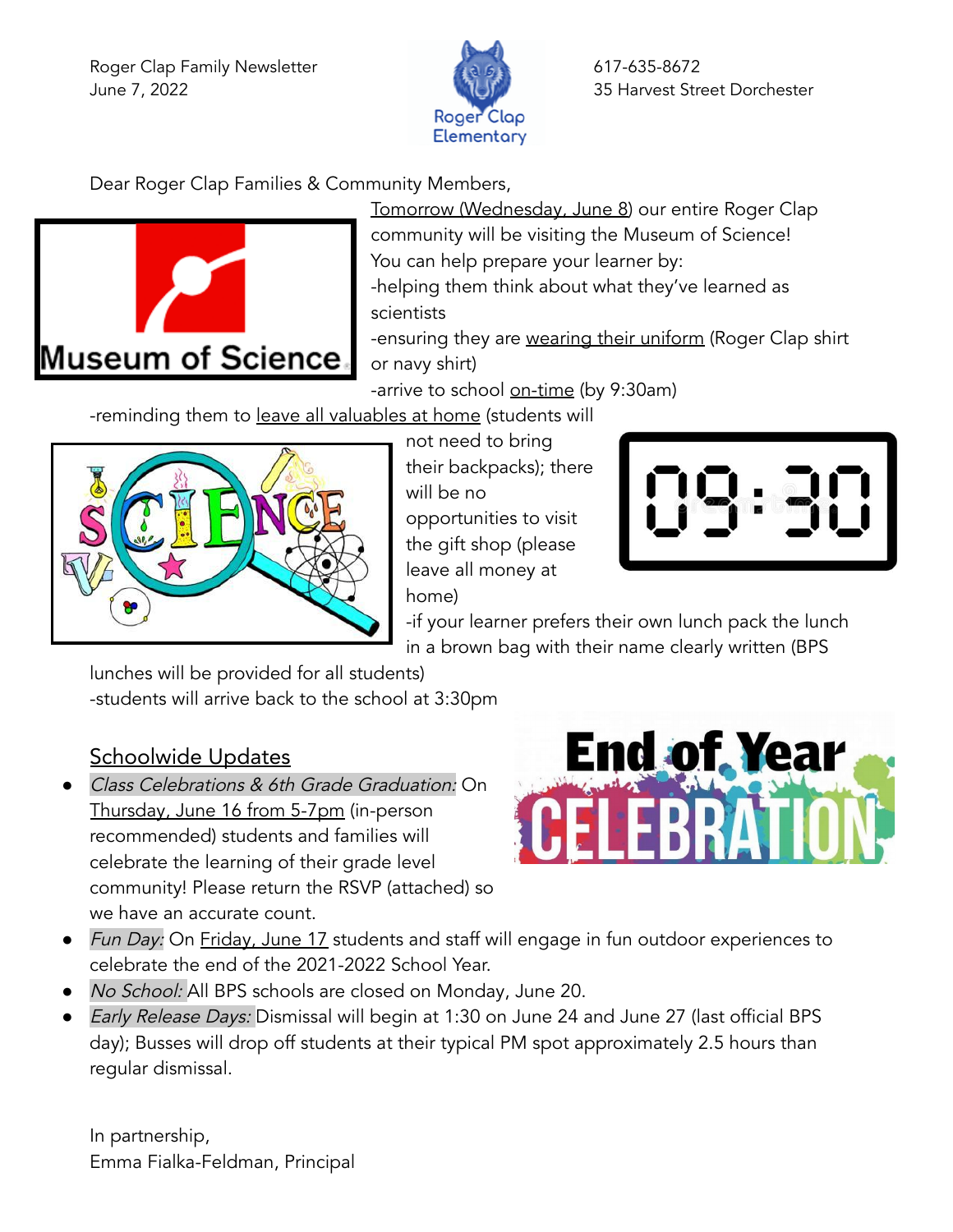Roger Clap Family Newsletter 617-635-8672 June 7, 2022 **35 Harvest Street Dorchester** 



Dear Roger Clap Families & Community Members,



Tomorrow (Wednesday, June 8) our entire Roger Clap community will be visiting the Museum of Science! You can help prepare your learner by: -helping them think about what they've learned as

scientists

-ensuring they are wearing their uniform (Roger Clap shirt or navy shirt)

-arrive to school on-time (by 9:30am)

-reminding them to leave all valuables at home (students will



not need to bring their backpacks); there will be no opportunities to visit the gift shop (please leave all money at home)



-if your learner prefers their own lunch pack the lunch in a brown bag with their name clearly written (BPS

lunches will be provided for all students) -students will arrive back to the school at 3:30pm

## Schoolwide Updates

Class Celebrations & 6th Grade Graduation: On Thursday, June 16 from 5-7pm (in-person recommended) students and families will celebrate the learning of their grade level community! Please return the RSVP (attached) so we have an accurate count.



- Fun Day: On Friday, June 17 students and staff will engage in fun outdoor experiences to celebrate the end of the 2021-2022 School Year.
- *No School:* All BPS schools are closed on Monday, June 20.
- Early Release Days: Dismissal will begin at 1:30 on June 24 and June 27 (last official BPS day); Busses will drop off students at their typical PM spot approximately 2.5 hours than regular dismissal.

In partnership, Emma Fialka-Feldman, Principal